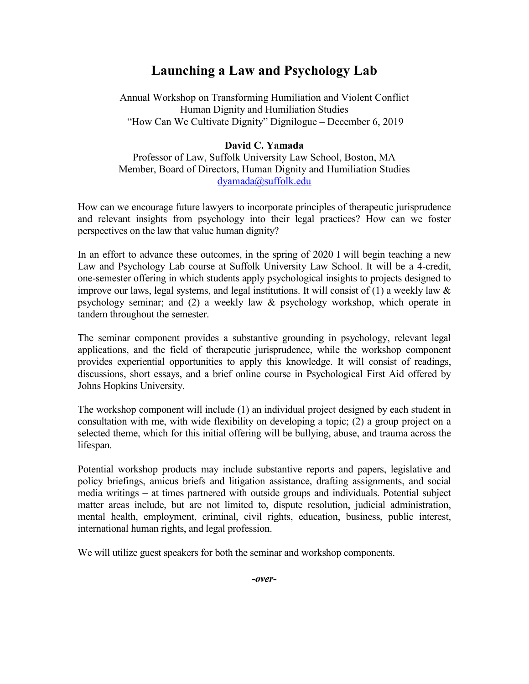## **Launching a Law and Psychology Lab**

Annual Workshop on Transforming Humiliation and Violent Conflict Human Dignity and Humiliation Studies "How Can We Cultivate Dignity" Dignilogue – December 6, 2019

## **David C. Yamada**

Professor of Law, Suffolk University Law School, Boston, MA Member, Board of Directors, Human Dignity and Humiliation Studies [dyamada@suffolk.edu](mailto:dyamada@suffolk.edu)

How can we encourage future lawyers to incorporate principles of therapeutic jurisprudence and relevant insights from psychology into their legal practices? How can we foster perspectives on the law that value human dignity?

In an effort to advance these outcomes, in the spring of 2020 I will begin teaching a new Law and Psychology Lab course at Suffolk University Law School. It will be a 4-credit, one-semester offering in which students apply psychological insights to projects designed to improve our laws, legal systems, and legal institutions. It will consist of  $(1)$  a weekly law  $\&$ psychology seminar; and (2) a weekly law & psychology workshop, which operate in tandem throughout the semester.

The seminar component provides a substantive grounding in psychology, relevant legal applications, and the field of therapeutic jurisprudence, while the workshop component provides experiential opportunities to apply this knowledge. It will consist of readings, discussions, short essays, and a brief online course in Psychological First Aid offered by Johns Hopkins University.

The workshop component will include (1) an individual project designed by each student in consultation with me, with wide flexibility on developing a topic; (2) a group project on a selected theme, which for this initial offering will be bullying, abuse, and trauma across the lifespan.

Potential workshop products may include substantive reports and papers, legislative and policy briefings, amicus briefs and litigation assistance, drafting assignments, and social media writings – at times partnered with outside groups and individuals. Potential subject matter areas include, but are not limited to, dispute resolution, judicial administration, mental health, employment, criminal, civil rights, education, business, public interest, international human rights, and legal profession.

We will utilize guest speakers for both the seminar and workshop components.

*-over-*